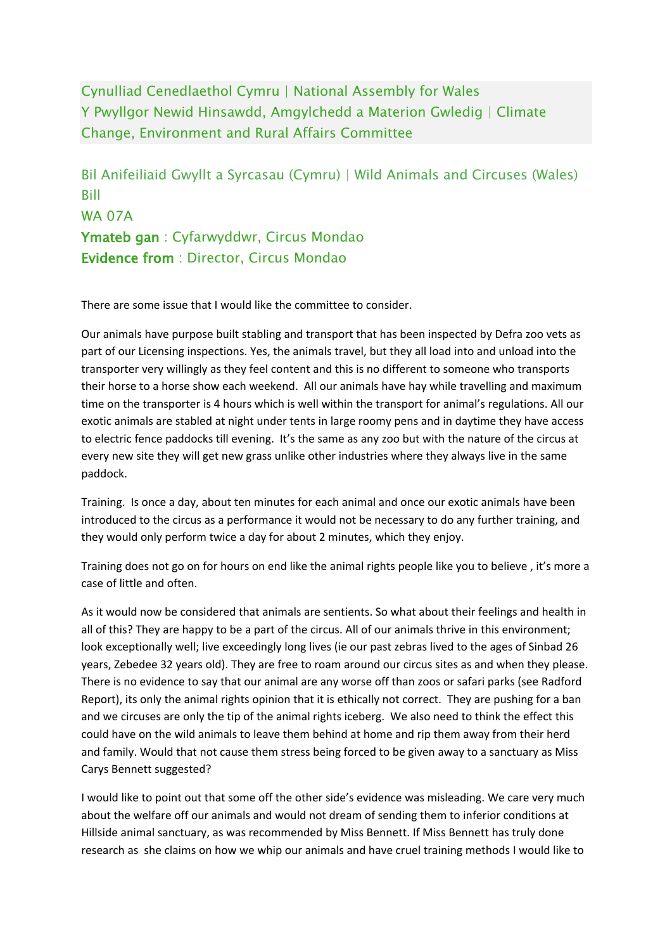Cynulliad Cenedlaethol Cymru | National Assembly for Wales Y Pwyllgor Newid Hinsawdd, Amgylchedd a Materion Gwledig | Climate Change, Environment and Rural Affairs Committee

Bil Anifeiliaid Gwyllt a Syrcasau (Cymru) | Wild Animals and Circuses (Wales) Bill WA 07A **Ymateb gan** : Cyfarwyddwr, Circus Mondao **Evidence from** : Director, Circus Mondao

There are some issue that I would like the committee to consider.

Our animals have purpose built stabling and transport that has been inspected by Defra zoo vets as part of our Licensing inspections. Yes, the animals travel, but they all load into and unload into the transporter very willingly as they feel content and this is no different to someone who transports their horse to a horse show each weekend. All our animals have hay while travelling and maximum time on the transporter is 4 hours which is well within the transport for animal's regulations. All our exotic animals are stabled at night under tents in large roomy pens and in daytime they have access to electric fence paddocks till evening. It's the same as any zoo but with the nature of the circus at every new site they will get new grass unlike other industries where they always live in the same paddock.

Training. Is once a day, about ten minutes for each animal and once our exotic animals have been introduced to the circus as a performance it would not be necessary to do any further training, and they would only perform twice a day for about 2 minutes, which they enjoy.

Training does not go on for hours on end like the animal rights people like you to believe , it's more a case of little and often.

As it would now be considered that animals are sentients. So what about their feelings and health in all of this? They are happy to be a part of the circus. All of our animals thrive in this environment; look exceptionally well; live exceedingly long lives (ie our past zebras lived to the ages of Sinbad 26 years, Zebedee 32 years old). They are free to roam around our circus sites as and when they please. There is no evidence to say that our animal are any worse off than zoos or safari parks (see Radford Report), its only the animal rights opinion that it is ethically not correct. They are pushing for a ban and we circuses are only the tip of the animal rights iceberg. We also need to think the effect this could have on the wild animals to leave them behind at home and rip them away from their herd and family. Would that not cause them stress being forced to be given away to a sanctuary as Miss Carys Bennett suggested?

I would like to point out that some off the other side's evidence was misleading. We care very much about the welfare off our animals and would not dream of sending them to inferior conditions at Hillside animal sanctuary, as was recommended by Miss Bennett. If Miss Bennett has truly done research as she claims on how we whip our animals and have cruel training methods I would like to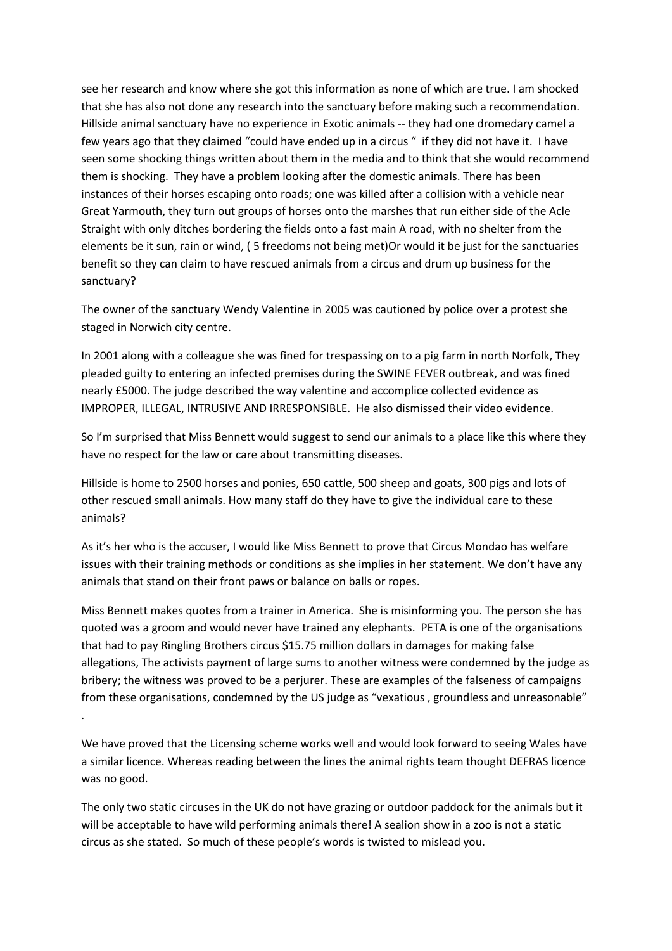see her research and know where she got this information as none of which are true. I am shocked that she has also not done any research into the sanctuary before making such a recommendation. Hillside animal sanctuary have no experience in Exotic animals -- they had one dromedary camel a few years ago that they claimed "could have ended up in a circus " if they did not have it. I have seen some shocking things written about them in the media and to think that she would recommend them is shocking. They have a problem looking after the domestic animals. There has been instances of their horses escaping onto roads; one was killed after a collision with a vehicle near Great Yarmouth, they turn out groups of horses onto the marshes that run either side of the Acle Straight with only ditches bordering the fields onto a fast main A road, with no shelter from the elements be it sun, rain or wind, ( 5 freedoms not being met)Or would it be just for the sanctuaries benefit so they can claim to have rescued animals from a circus and drum up business for the sanctuary?

The owner of the sanctuary Wendy Valentine in 2005 was cautioned by police over a protest she staged in Norwich city centre.

In 2001 along with a colleague she was fined for trespassing on to a pig farm in north Norfolk, They pleaded guilty to entering an infected premises during the SWINE FEVER outbreak, and was fined nearly £5000. The judge described the way valentine and accomplice collected evidence as IMPROPER, ILLEGAL, INTRUSIVE AND IRRESPONSIBLE. He also dismissed their video evidence.

So I'm surprised that Miss Bennett would suggest to send our animals to a place like this where they have no respect for the law or care about transmitting diseases.

Hillside is home to 2500 horses and ponies, 650 cattle, 500 sheep and goats, 300 pigs and lots of other rescued small animals. How many staff do they have to give the individual care to these animals?

As it's her who is the accuser, I would like Miss Bennett to prove that Circus Mondao has welfare issues with their training methods or conditions as she implies in her statement. We don't have any animals that stand on their front paws or balance on balls or ropes.

Miss Bennett makes quotes from a trainer in America. She is misinforming you. The person she has quoted was a groom and would never have trained any elephants. PETA is one of the organisations that had to pay Ringling Brothers circus \$15.75 million dollars in damages for making false allegations, The activists payment of large sums to another witness were condemned by the judge as bribery; the witness was proved to be a perjurer. These are examples of the falseness of campaigns from these organisations, condemned by the US judge as "vexatious , groundless and unreasonable"

We have proved that the Licensing scheme works well and would look forward to seeing Wales have a similar licence. Whereas reading between the lines the animal rights team thought DEFRAS licence was no good.

.

The only two static circuses in the UK do not have grazing or outdoor paddock for the animals but it will be acceptable to have wild performing animals there! A sealion show in a zoo is not a static circus as she stated. So much of these people's words is twisted to mislead you.